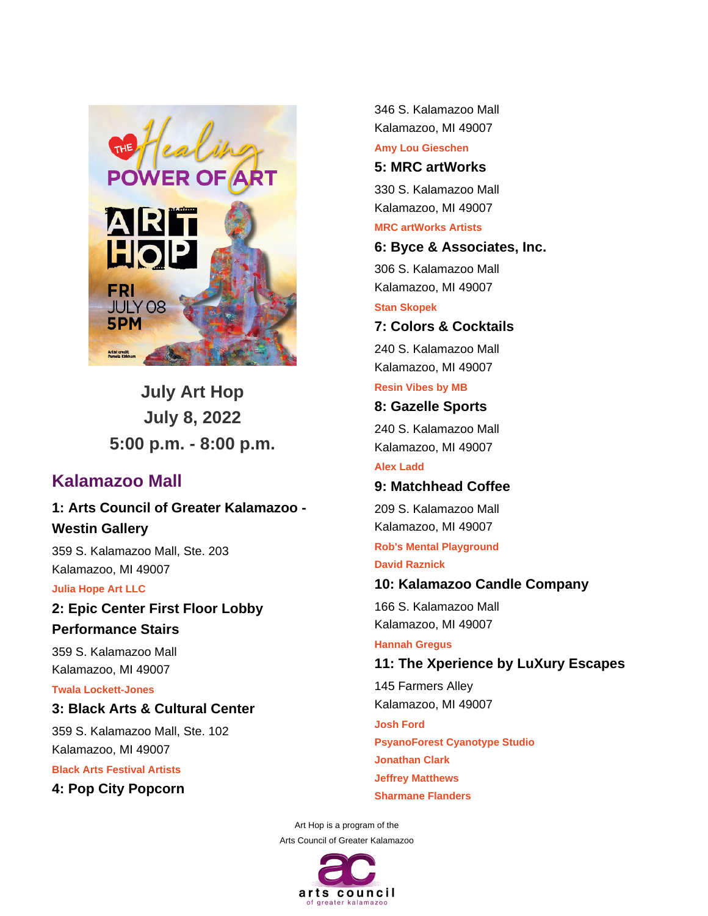

**July Art Hop July 8, 2022 5:00 p.m. - 8:00 p.m.**

# **Kalamazoo Mall**

**1: Arts Council of Greater Kalamazoo - Westin Gallery**

359 S. Kalamazoo Mall, Ste. 203 Kalamazoo, MI 49007

#### **Julia Hope Art LLC**

**2: Epic Center First Floor Lobby Performance Stairs**

359 S. Kalamazoo Mall Kalamazoo, MI 49007

### **Twala Lockett-Jones**

## **3: Black Arts & Cultural Center**

359 S. Kalamazoo Mall, Ste. 102 Kalamazoo, MI 49007

**Black Arts Festival Artists**

**4: Pop City Popcorn**

346 S. Kalamazoo Mall Kalamazoo, MI 49007

**Amy Lou Gieschen**

# **5: MRC artWorks**

330 S. Kalamazoo Mall Kalamazoo, MI 49007

**MRC artWorks Artists**

### **6: Byce & Associates, Inc.**

306 S. Kalamazoo Mall Kalamazoo, MI 49007

**Stan Skopek**

## **7: Colors & Cocktails**

240 S. Kalamazoo Mall Kalamazoo, MI 49007

**Resin Vibes by MB**

### **8: Gazelle Sports**

240 S. Kalamazoo Mall Kalamazoo, MI 49007

**Alex Ladd**

## **9: Matchhead Coffee**

209 S. Kalamazoo Mall Kalamazoo, MI 49007

**Rob's Mental Playground David Raznick**

## **10: Kalamazoo Candle Company**

166 S. Kalamazoo Mall Kalamazoo, MI 49007

#### **Hannah Gregus**

**11: The Xperience by LuXury Escapes** 145 Farmers Alley Kalamazoo, MI 49007 **Josh Ford**

**PsyanoForest Cyanotype Studio Jonathan Clark Jeffrey Matthews Sharmane Flanders**

Art Hop is a program of the Arts Council of Greater Kalamazoo

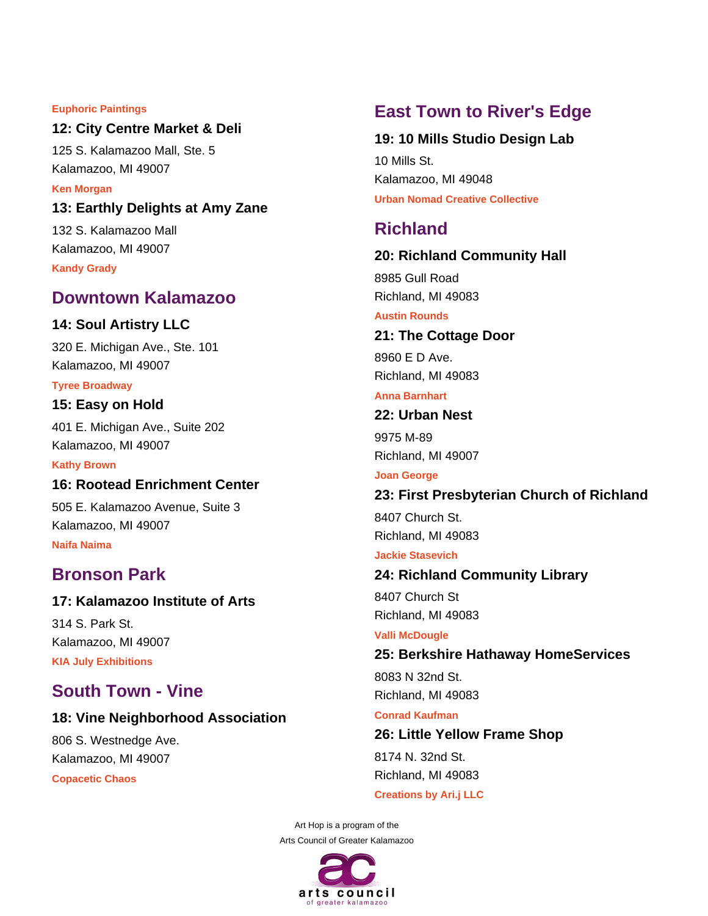#### **Euphoric Paintings**

### **12: City Centre Market & Deli**

125 S. Kalamazoo Mall, Ste. 5 Kalamazoo, MI 49007

**Ken Morgan**

**13: Earthly Delights at Amy Zane**

132 S. Kalamazoo Mall Kalamazoo, MI 49007 **Kandy Grady**

# **Downtown Kalamazoo**

### **14: Soul Artistry LLC**

320 E. Michigan Ave., Ste. 101 Kalamazoo, MI 49007

#### **Tyree Broadway**

#### **15: Easy on Hold**

401 E. Michigan Ave., Suite 202 Kalamazoo, MI 49007

**Kathy Brown**

### **16: Rootead Enrichment Center**

505 E. Kalamazoo Avenue, Suite 3 Kalamazoo, MI 49007 **Naifa Naima**

# **Bronson Park**

### **17: Kalamazoo Institute of Arts**

314 S. Park St. Kalamazoo, MI 49007 **KIA July Exhibitions**

# **South Town - Vine**

### **18: Vine Neighborhood Association**

806 S. Westnedge Ave. Kalamazoo, MI 49007 **Copacetic Chaos**

# **East Town to River's Edge**

#### **19: 10 Mills Studio Design Lab**

10 Mills St. Kalamazoo, MI 49048 **Urban Nomad Creative Collective**

# **Richland**

#### **20: Richland Community Hall**

8985 Gull Road Richland, MI 49083

### **Austin Rounds**

## **21: The Cottage Door**

8960 E D Ave. Richland, MI 49083

#### **Anna Barnhart**

## **22: Urban Nest**

9975 M-89 Richland, MI 49007

#### **Joan George**

### **23: First Presbyterian Church of Richland**

8407 Church St. Richland, MI 49083

#### **Jackie Stasevich**

#### **24: Richland Community Library**

8407 Church St Richland, MI 49083

#### **Valli McDougle**

**25: Berkshire Hathaway HomeServices**

8083 N 32nd St. Richland, MI 49083

#### **Conrad Kaufman**

**26: Little Yellow Frame Shop** 8174 N. 32nd St. Richland, MI 49083

#### **Creations by Ari.j LLC**

Art Hop is a program of the Arts Council of Greater Kalamazoo